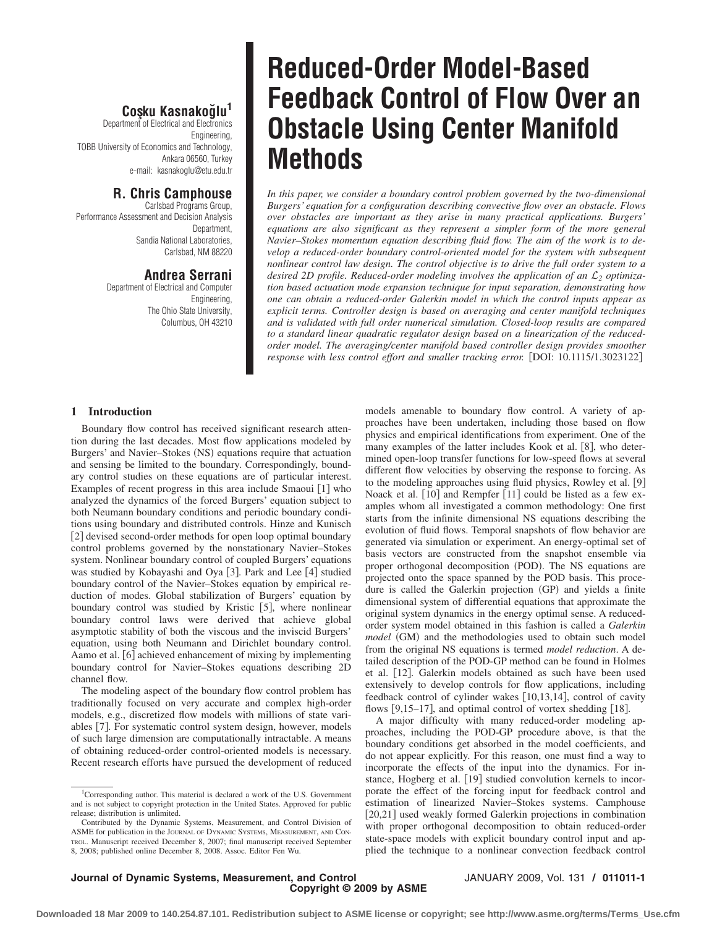# **Cos¸ku Kasnakog˘lu<sup>1</sup>**

Department of Electrical and Electronics Engineering, TOBB University of Economics and Technology, Ankara 06560, Turkey e-mail: kasnakoglu@etu.edu.tr

# **R. Chris Camphouse**

Carlsbad Programs Group, Performance Assessment and Decision Analysis Department, Sandia National Laboratories, Carlsbad, NM 88220

# **Andrea Serrani**

Department of Electrical and Computer Engineering, The Ohio State University, Columbus, OH 43210

# **Reduced-Order Model-Based Feedback Control of Flow Over an Obstacle Using Center Manifold Methods**

*In this paper, we consider a boundary control problem governed by the two-dimensional Burgers' equation for a configuration describing convective flow over an obstacle. Flows over obstacles are important as they arise in many practical applications. Burgers' equations are also significant as they represent a simpler form of the more general Navier–Stokes momentum equation describing fluid flow. The aim of the work is to develop a reduced-order boundary control-oriented model for the system with subsequent nonlinear control law design. The control objective is to drive the full order system to a desired 2D profile. Reduced-order modeling involves the application of an* L*<sup>2</sup> optimization based actuation mode expansion technique for input separation, demonstrating how one can obtain a reduced-order Galerkin model in which the control inputs appear as explicit terms. Controller design is based on averaging and center manifold techniques and is validated with full order numerical simulation. Closed-loop results are compared to a standard linear quadratic regulator design based on a linearization of the reducedorder model. The averaging/center manifold based controller design provides smoother response with less control effort and smaller tracking error.* [DOI: 10.1115/1.3023122]

### **1 Introduction**

Boundary flow control has received significant research attention during the last decades. Most flow applications modeled by Burgers' and Navier–Stokes (NS) equations require that actuation and sensing be limited to the boundary. Correspondingly, boundary control studies on these equations are of particular interest. Examples of recent progress in this area include Smaoui [1] who analyzed the dynamics of the forced Burgers' equation subject to both Neumann boundary conditions and periodic boundary conditions using boundary and distributed controls. Hinze and Kunisch [2] devised second-order methods for open loop optimal boundary control problems governed by the nonstationary Navier–Stokes system. Nonlinear boundary control of coupled Burgers' equations was studied by Kobayashi and Oya [3]. Park and Lee [4] studied boundary control of the Navier–Stokes equation by empirical reduction of modes. Global stabilization of Burgers' equation by boundary control was studied by Kristic [5], where nonlinear boundary control laws were derived that achieve global asymptotic stability of both the viscous and the inviscid Burgers' equation, using both Neumann and Dirichlet boundary control. Aamo et al. [6] achieved enhancement of mixing by implementing boundary control for Navier–Stokes equations describing 2D channel flow.

The modeling aspect of the boundary flow control problem has traditionally focused on very accurate and complex high-order models, e.g., discretized flow models with millions of state variables [7]. For systematic control system design, however, models of such large dimension are computationally intractable. A means of obtaining reduced-order control-oriented models is necessary. Recent research efforts have pursued the development of reduced

models amenable to boundary flow control. A variety of approaches have been undertaken, including those based on flow physics and empirical identifications from experiment. One of the many examples of the latter includes Kook et al. [8], who determined open-loop transfer functions for low-speed flows at several different flow velocities by observing the response to forcing. As to the modeling approaches using fluid physics, Rowley et al. [9] Noack et al. [10] and Rempfer [11] could be listed as a few examples whom all investigated a common methodology: One first starts from the infinite dimensional NS equations describing the evolution of fluid flows. Temporal snapshots of flow behavior are generated via simulation or experiment. An energy-optimal set of basis vectors are constructed from the snapshot ensemble via proper orthogonal decomposition (POD). The NS equations are projected onto the space spanned by the POD basis. This procedure is called the Galerkin projection (GP) and yields a finite dimensional system of differential equations that approximate the original system dynamics in the energy optimal sense. A reducedorder system model obtained in this fashion is called a *Galerkin model* (GM) and the methodologies used to obtain such model from the original NS equations is termed *model reduction*. A detailed description of the POD-GP method can be found in Holmes et al. [12]. Galerkin models obtained as such have been used extensively to develop controls for flow applications, including feedback control of cylinder wakes [10,13,14], control of cavity flows  $[9, 15-17]$ , and optimal control of vortex shedding  $[18]$ .

A major difficulty with many reduced-order modeling approaches, including the POD-GP procedure above, is that the boundary conditions get absorbed in the model coefficients, and do not appear explicitly. For this reason, one must find a way to incorporate the effects of the input into the dynamics. For instance, Hogberg et al. [19] studied convolution kernels to incorporate the effect of the forcing input for feedback control and estimation of linearized Navier–Stokes systems. Camphouse [20,21] used weakly formed Galerkin projections in combination with proper orthogonal decomposition to obtain reduced-order state-space models with explicit boundary control input and applied the technique to a nonlinear convection feedback control

**Journal of Dynamic Systems, Measurement, and Control** JANUARY 2009, Vol. 131 **/ 011011-1 Copyright © 2009 by ASME**

<sup>&</sup>lt;sup>1</sup>Corresponding author. This material is declared a work of the U.S. Government and is not subject to copyright protection in the United States. Approved for public release; distribution is unlimited.

Contributed by the Dynamic Systems, Measurement, and Control Division of ASME for publication in the JOURNAL OF DYNAMIC SYSTEMS, MEASUREMENT, AND CON-TROL. Manuscript received December 8, 2007; final manuscript received September 8, 2008; published online December 8, 2008. Assoc. Editor Fen Wu.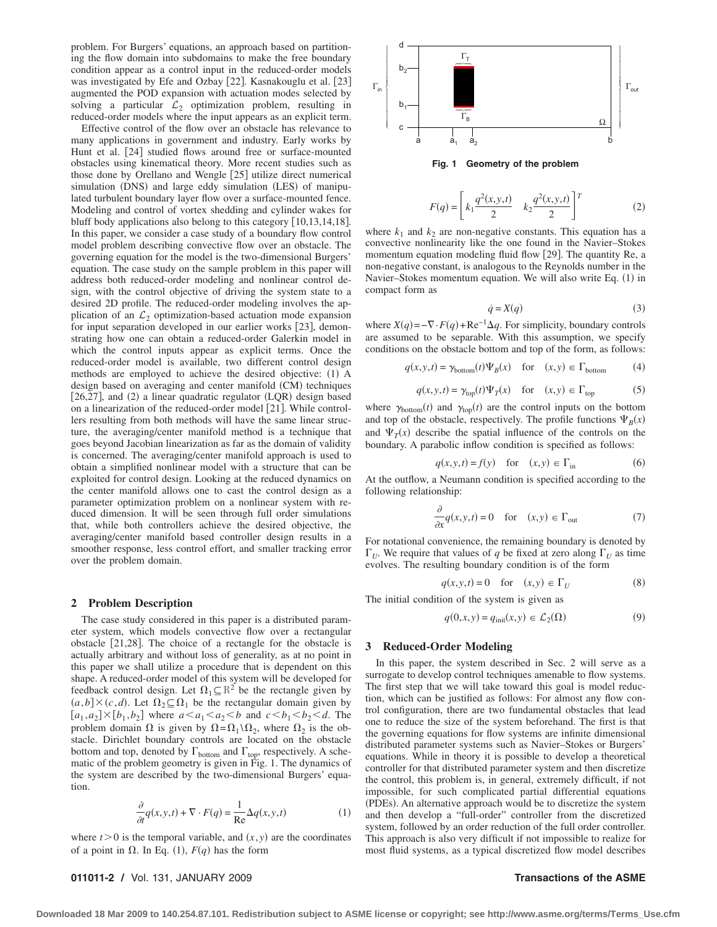problem. For Burgers' equations, an approach based on partitioning the flow domain into subdomains to make the free boundary condition appear as a control input in the reduced-order models was investigated by Efe and Ozbay [22]. Kasnakouglu et al. [23] augmented the POD expansion with actuation modes selected by solving a particular  $\mathcal{L}_2$  optimization problem, resulting in reduced-order models where the input appears as an explicit term.

Effective control of the flow over an obstacle has relevance to many applications in government and industry. Early works by Hunt et al. [24] studied flows around free or surface-mounted obstacles using kinematical theory. More recent studies such as those done by Orellano and Wengle [25] utilize direct numerical simulation (DNS) and large eddy simulation (LES) of manipulated turbulent boundary layer flow over a surface-mounted fence. Modeling and control of vortex shedding and cylinder wakes for bluff body applications also belong to this category [10,13,14,18]. In this paper, we consider a case study of a boundary flow control model problem describing convective flow over an obstacle. The governing equation for the model is the two-dimensional Burgers' equation. The case study on the sample problem in this paper will address both reduced-order modeling and nonlinear control design, with the control objective of driving the system state to a desired 2D profile. The reduced-order modeling involves the application of an  $\mathcal{L}_2$  optimization-based actuation mode expansion for input separation developed in our earlier works [23], demonstrating how one can obtain a reduced-order Galerkin model in which the control inputs appear as explicit terms. Once the reduced-order model is available, two different control design methods are employed to achieve the desired objective: (1) A design based on averaging and center manifold (CM) techniques [26,27], and (2) a linear quadratic regulator (LQR) design based on a linearization of the reduced-order model [21]. While controllers resulting from both methods will have the same linear structure, the averaging/center manifold method is a technique that goes beyond Jacobian linearization as far as the domain of validity is concerned. The averaging/center manifold approach is used to obtain a simplified nonlinear model with a structure that can be exploited for control design. Looking at the reduced dynamics on the center manifold allows one to cast the control design as a parameter optimization problem on a nonlinear system with reduced dimension. It will be seen through full order simulations that, while both controllers achieve the desired objective, the averaging/center manifold based controller design results in a smoother response, less control effort, and smaller tracking error over the problem domain.

### **2 Problem Description**

The case study considered in this paper is a distributed parameter system, which models convective flow over a rectangular obstacle  $[21,28]$ . The choice of a rectangle for the obstacle is actually arbitrary and without loss of generality, as at no point in this paper we shall utilize a procedure that is dependent on this shape. A reduced-order model of this system will be developed for feedback control design. Let  $\Omega_1 \subseteq \mathbb{R}^2$  be the rectangle given by  $(a,b] \times (c,d)$ . Let  $\Omega_2 \subseteq \Omega_1$  be the rectangular domain given by  $[a_1, a_2] \times [b_1, b_2]$  where  $a \le a_1 \le a_2 \le b$  and  $c \le b_1 \le b_2 \le d$ . The problem domain  $\Omega$  is given by  $\Omega = \Omega_1 \setminus \Omega_2$ , where  $\Omega_2$  is the obstacle. Dirichlet boundary controls are located on the obstacle bottom and top, denoted by  $\Gamma_{\text{bottom}}$  and  $\Gamma_{\text{top}}$ , respectively. A schematic of the problem geometry is given in Fig. 1. The dynamics of the system are described by the two-dimensional Burgers' equation.

$$
\frac{\partial}{\partial t}q(x, y, t) + \nabla \cdot F(q) = \frac{1}{\text{Re}}\Delta q(x, y, t)
$$
(1)

where  $t > 0$  is the temporal variable, and  $(x, y)$  are the coordinates of a point in  $\Omega$ . In Eq. (1),  $F(q)$  has the form



$$
F(q) = \left[ k_1 \frac{q^2(x, y, t)}{2} \quad k_2 \frac{q^2(x, y, t)}{2} \right]^T
$$
 (2)

where  $k_1$  and  $k_2$  are non-negative constants. This equation has a convective nonlinearity like the one found in the Navier–Stokes momentum equation modeling fluid flow [29]. The quantity Re, a non-negative constant, is analogous to the Reynolds number in the Navier–Stokes momentum equation. We will also write Eq. (1) in compact form as

$$
\dot{q} = X(q) \tag{3}
$$

where  $X(q) = -\nabla \cdot F(q) + \text{Re}^{-1} \Delta q$ . For simplicity, boundary controls are assumed to be separable. With this assumption, we specify conditions on the obstacle bottom and top of the form, as follows:

$$
q(x, y, t) = \gamma_{\text{bottom}}(t)\Psi_B(x) \quad \text{for} \quad (x, y) \in \Gamma_{\text{bottom}} \tag{4}
$$

$$
q(x, y, t) = \gamma_{\text{top}}(t)\Psi_T(x) \quad \text{for} \quad (x, y) \in \Gamma_{\text{top}} \tag{5}
$$

where  $\gamma_{\text{bottom}}(t)$  and  $\gamma_{\text{top}}(t)$  are the control inputs on the bottom and top of the obstacle, respectively. The profile functions  $\Psi_B(x)$ and  $\Psi_T(x)$  describe the spatial influence of the controls on the boundary. A parabolic inflow condition is specified as follows:

$$
q(x, y, t) = f(y) \quad \text{for} \quad (x, y) \in \Gamma_{\text{in}} \tag{6}
$$

At the outflow, a Neumann condition is specified according to the following relationship:

$$
\frac{\partial}{\partial x}q(x,y,t) = 0 \quad \text{for} \quad (x,y) \in \Gamma_{\text{out}} \tag{7}
$$

For notational convenience, the remaining boundary is denoted by  $\Gamma_{U}$ . We require that values of *q* be fixed at zero along  $\Gamma_{U}$  as time evolves. The resulting boundary condition is of the form

$$
q(x, y, t) = 0 \quad \text{for} \quad (x, y) \in \Gamma_U \tag{8}
$$

The initial condition of the system is given as

$$
q(0, x, y) = q_{init}(x, y) \in \mathcal{L}_2(\Omega)
$$
\n(9)

### **3 Reduced-Order Modeling**

In this paper, the system described in Sec. 2 will serve as a surrogate to develop control techniques amenable to flow systems. The first step that we will take toward this goal is model reduction, which can be justified as follows: For almost any flow control configuration, there are two fundamental obstacles that lead one to reduce the size of the system beforehand. The first is that the governing equations for flow systems are infinite dimensional distributed parameter systems such as Navier–Stokes or Burgers' equations. While in theory it is possible to develop a theoretical controller for that distributed parameter system and then discretize the control, this problem is, in general, extremely difficult, if not impossible, for such complicated partial differential equations PDEs. An alternative approach would be to discretize the system and then develop a "full-order" controller from the discretized system, followed by an order reduction of the full order controller. This approach is also very difficult if not impossible to realize for most fluid systems, as a typical discretized flow model describes

### **011011-2 /** Vol. 131, JANUARY 2009 **Transactions of the ASME**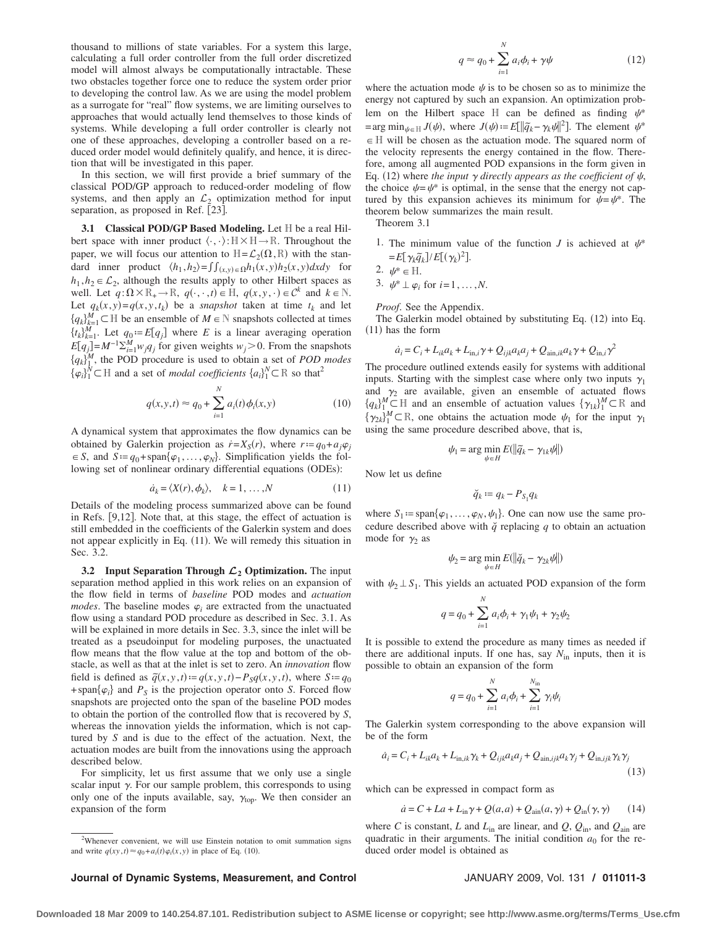thousand to millions of state variables. For a system this large, calculating a full order controller from the full order discretized model will almost always be computationally intractable. These two obstacles together force one to reduce the system order prior to developing the control law. As we are using the model problem as a surrogate for "real" flow systems, we are limiting ourselves to approaches that would actually lend themselves to those kinds of systems. While developing a full order controller is clearly not one of these approaches, developing a controller based on a reduced order model would definitely qualify, and hence, it is direction that will be investigated in this paper.

In this section, we will first provide a brief summary of the classical POD/GP approach to reduced-order modeling of flow systems, and then apply an  $\mathcal{L}_2$  optimization method for input separation, as proposed in Ref. [23].

**3.1 Classical POD/GP Based Modeling.** Let H be a real Hilbert space with inner product  $\langle \cdot, \cdot \rangle : \mathbb{H} \times \mathbb{H} \to \mathbb{R}$ . Throughout the paper, we will focus our attention to  $H = \mathcal{L}_2(\Omega, R)$  with the standard inner product  $\langle h_1, h_2 \rangle = \iint_{(x,y)} \epsilon \Omega h_1(x,y) h_2(x,y) dx dy$  for  $h_1, h_2 \in \mathcal{L}_2$ , although the results apply to other Hilbert spaces as well. Let  $q: \Omega \times \mathbb{R}_+ \to \mathbb{R}$ ,  $q(\cdot, \cdot, t) \in \mathbb{H}$ ,  $q(x, y, \cdot) \in \mathcal{C}^k$  and  $k \in \mathbb{N}$ . Let  $q_k(x, y) = q(x, y, t_k)$  be a *snapshot* taken at time  $t_k$  and let  ${q_k}_{k=1}^M$   $\subset$  *H* be an ensemble of *M*  $\in$  *N* snapshots collected at times  ${t_k}_{k=1}^M$ . Let  $q_0 := E[q_j]$  where *E* is a linear averaging operation  $E[q_j] = M^{-1} \sum_{i=1}^{M} w_j q_j$  for given weights  $w_j > 0$ . From the snapshots  ${q_k}_{1}^M$ , the POD procedure is used to obtain a set of *POD modes*  $\{\varphi_i\}_1^{\tilde{N}} \subset \mathbb{H}$  and a set of *modal coefficients*  $\{a_i\}_1^N \subset \mathbb{R}$  so that<sup>2</sup>

$$
q(x, y, t) \approx q_0 + \sum_{i=1}^{N} a_i(t) \phi_i(x, y)
$$
 (10)

A dynamical system that approximates the flow dynamics can be obtained by Galerkin projection as  $\dot{r} = X_S(r)$ , where  $r = q_0 + a_j \varphi_j$  $\in S$ , and  $S := q_0 + \text{span}\{\varphi_1, \ldots, \varphi_N\}$ . Simplification yields the following set of nonlinear ordinary differential equations (ODEs):

$$
\dot{a}_k = \langle X(r), \phi_k \rangle, \quad k = 1, \dots, N \tag{11}
$$

Details of the modeling process summarized above can be found in Refs. [9,12]. Note that, at this stage, the effect of actuation is still embedded in the coefficients of the Galerkin system and does not appear explicitly in Eq. (11). We will remedy this situation in Sec. 3.2.

**3.2 Input Separation Through** *L***<sup>2</sup> Optimization.** The input separation method applied in this work relies on an expansion of the flow field in terms of *baseline* POD modes and *actuation modes*. The baseline modes  $\varphi_i$  are extracted from the unactuated flow using a standard POD procedure as described in Sec. 3.1. As will be explained in more details in Sec. 3.3, since the inlet will be treated as a pseudoinput for modeling purposes, the unactuated flow means that the flow value at the top and bottom of the obstacle, as well as that at the inlet is set to zero. An *innovation* flow field is defined as  $\tilde{q}(x, y, t) = q(x, y, t) - P_S q(x, y, t)$ , where  $S := q_0$ + span $\{\varphi_i\}$  and  $P_S$  is the projection operator onto *S*. Forced flow snapshots are projected onto the span of the baseline POD modes to obtain the portion of the controlled flow that is recovered by *S*, whereas the innovation yields the information, which is not captured by *S* and is due to the effect of the actuation. Next, the actuation modes are built from the innovations using the approach described below.

For simplicity, let us first assume that we only use a single scalar input  $\gamma$ . For our sample problem, this corresponds to using only one of the inputs available, say,  $\gamma_{\text{top}}$ . We then consider an expansion of the form

$$
q \approx q_0 + \sum_{i=1}^{N} a_i \phi_i + \gamma \psi \tag{12}
$$

where the actuation mode  $\psi$  is to be chosen so as to minimize the energy not captured by such an expansion. An optimization problem on the Hilbert space H can be defined as finding  $\psi^*$  $=\arg \min_{\psi \in H} J(\psi)$ , where  $J(\psi) := E[\|\widetilde{q}_k - \gamma_k \psi\|^2]$ . The element  $\psi^*$  $\in$  H will be chosen as the actuation mode. The squared norm of the velocity represents the energy contained in the flow. Therefore, among all augmented POD expansions in the form given in Eq. (12) where *the input*  $\gamma$  directly appears as the coefficient of  $\psi$ , the choice  $\psi = \psi^*$  is optimal, in the sense that the energy not captured by this expansion achieves its minimum for  $\psi = \psi^*$ . The theorem below summarizes the main result.

Theorem 3.1

1. The minimum value of the function *J* is achieved at  $\psi^*$  $= E[\gamma_k \tilde{q}_k] / E[(\gamma_k)^2].$ 

$$
2. \ \psi^* \in \mathbb{H}.
$$

3. 
$$
\psi^* \perp \varphi_i
$$
 for  $i=1,\ldots,N$ .

*Proof*. See the Appendix.

The Galerkin model obtained by substituting Eq. (12) into Eq.  $(11)$  has the form

$$
\dot{a}_i = C_i + L_{ik}a_k + L_{in,i}\gamma + Q_{ijk}a_ka_j + Q_{\text{ain},ik}a_k\gamma + Q_{\text{in},i}\gamma^2
$$

The procedure outlined extends easily for systems with additional inputs. Starting with the simplest case where only two inputs  $\gamma_1$ and  $\gamma_2$  are available, given an ensemble of actuated flows  ${q_k}_{1}^{M}$   $\subset$  H and an ensemble of actuation values  ${\gamma_{1k}}_{1}^{M}$   $\subset$  R and  $\{\gamma_{2k}\}_{1}^{M} \subset \mathbb{R}$ , one obtains the actuation mode  $\psi_1$  for the input  $\gamma_1$ using the same procedure described above, that is,

$$
\psi_1 = \arg\min_{\psi \in H} E(||\widetilde{q}_k - \gamma_{1k}\psi||)
$$

Now let us define

$$
\breve{q}_k := q_k - P_{S_1} q_k
$$

where  $S_1 := \text{span}\{\varphi_1, \ldots, \varphi_N, \psi_1\}$ . One can now use the same procedure described above with  $\check{q}$  replacing  $q$  to obtain an actuation mode for  $\gamma_2$  as

$$
\psi_2 = \arg\min_{\psi \in H} E(||\breve{q}_k - \gamma_{2k}\psi||)
$$

with  $\psi_2 \perp S_1$ . This yields an actuated POD expansion of the form

$$
q = q_0 + \sum_{i=1}^{N} a_i \phi_i + \gamma_1 \psi_1 + \gamma_2 \psi_2
$$

It is possible to extend the procedure as many times as needed if there are additional inputs. If one has, say  $N_{\text{in}}$  inputs, then it is possible to obtain an expansion of the form

$$
q = q_0 + \sum_{i=1}^{N} a_i \phi_i + \sum_{i=1}^{N_{\text{in}}} \gamma_i \psi_i
$$

The Galerkin system corresponding to the above expansion will be of the form

$$
\dot{a}_i = C_i + L_{ik}a_k + L_{\text{in},ik}\gamma_k + Q_{ijk}a_ka_j + Q_{\text{ain},ijk}a_k\gamma_j + Q_{\text{in},ijk}\gamma_k\gamma_j
$$
\n(13)

which can be expressed in compact form as

$$
\dot{a} = C + La + L_{\text{in}}\gamma + Q(a, a) + Q_{\text{ain}}(a, \gamma) + Q_{\text{in}}(\gamma, \gamma) \tag{14}
$$

where *C* is constant, *L* and  $L_{\text{in}}$  are linear, and  $Q$ ,  $Q_{\text{in}}$ , and  $Q_{\text{ain}}$  are quadratic in their arguments. The initial condition  $a_0$  for the reduced order model is obtained as

**Journal of Dynamic Systems, Measurement, and Control** JANUARY 2009, Vol. 131 **/ 011011-3**

<sup>&</sup>lt;sup>2</sup>Whenever convenient, we will use Einstein notation to omit summation signs and write  $q(xy, t) \approx q_0 + a_i(t) \varphi_i(x, y)$  in place of Eq. (10).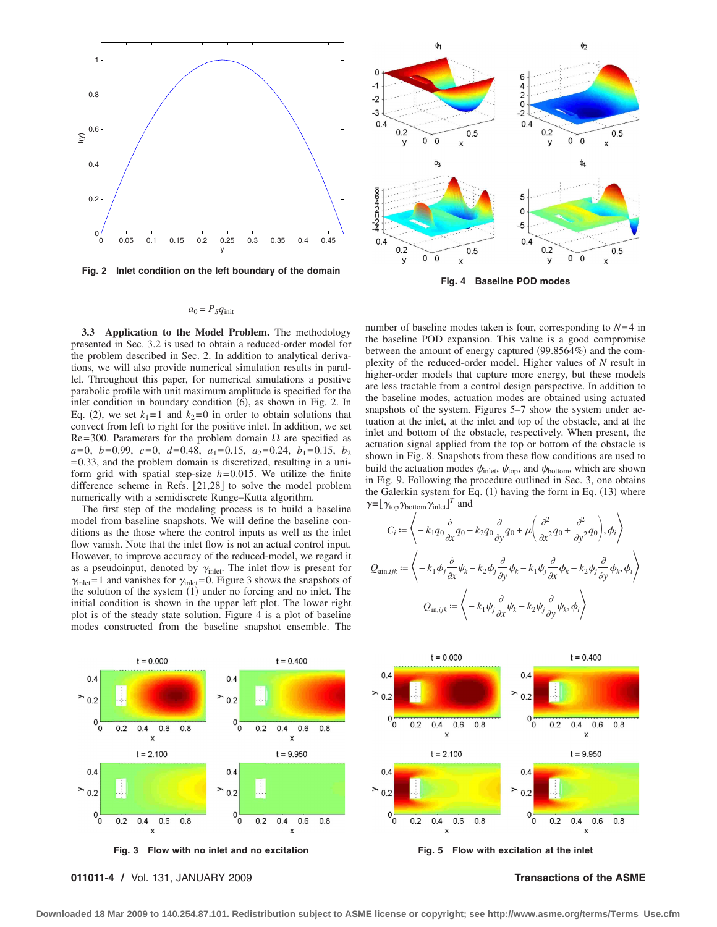

**Fig. 2 Inlet condition on the left boundary of the domain**



**Fig. 4 Baseline POD modes**

## $a_0 = P_S q_{\text{init}}$

**3.3 Application to the Model Problem.** The methodology presented in Sec. 3.2 is used to obtain a reduced-order model for the problem described in Sec. 2. In addition to analytical derivations, we will also provide numerical simulation results in parallel. Throughout this paper, for numerical simulations a positive parabolic profile with unit maximum amplitude is specified for the inlet condition in boundary condition  $(6)$ , as shown in Fig. 2. In Eq. (2), we set  $k_1 = 1$  and  $k_2 = 0$  in order to obtain solutions that convect from left to right for the positive inlet. In addition, we set Re= 300. Parameters for the problem domain  $\Omega$  are specified as  $a=0, b=0.99, c=0, d=0.48, a_1=0.15, a_2=0.24, b_1=0.15, b_2$  $= 0.33$ , and the problem domain is discretized, resulting in a uniform grid with spatial step-size  $h = 0.015$ . We utilize the finite difference scheme in Refs. [21,28] to solve the model problem numerically with a semidiscrete Runge–Kutta algorithm.

The first step of the modeling process is to build a baseline model from baseline snapshots. We will define the baseline conditions as the those where the control inputs as well as the inlet flow vanish. Note that the inlet flow is not an actual control input. However, to improve accuracy of the reduced-model, we regard it as a pseudoinput, denoted by  $\gamma_{\text{inlet}}$ . The inlet flow is present for  $\gamma_{\text{inlet}}$ = 1 and vanishes for  $\gamma_{\text{inlet}}$ = 0. Figure 3 shows the snapshots of the solution of the system  $(1)$  under no forcing and no inlet. The initial condition is shown in the upper left plot. The lower right plot is of the steady state solution. Figure 4 is a plot of baseline modes constructed from the baseline snapshot ensemble. The

number of baseline modes taken is four, corresponding to  $N=4$  in the baseline POD expansion. This value is a good compromise between the amount of energy captured  $(99.8564%)$  and the complexity of the reduced-order model. Higher values of *N* result in higher-order models that capture more energy, but these models are less tractable from a control design perspective. In addition to the baseline modes, actuation modes are obtained using actuated snapshots of the system. Figures 5–7 show the system under actuation at the inlet, at the inlet and top of the obstacle, and at the inlet and bottom of the obstacle, respectively. When present, the actuation signal applied from the top or bottom of the obstacle is shown in Fig. 8. Snapshots from these flow conditions are used to build the actuation modes  $\psi_{\text{inlet}}$ ,  $\psi_{\text{top}}$ , and  $\psi_{\text{bottom}}$ , which are shown in Fig. 9. Following the procedure outlined in Sec. 3, one obtains the Galerkin system for Eq.  $(1)$  having the form in Eq.  $(13)$  where  $\gamma = [\gamma_{\text{top}} \gamma_{\text{bottom}} \gamma_{\text{inlet}}]^T$  and

$$
C_{i} := \left\langle -k_{1}q_{0}\frac{\partial}{\partial x}q_{0} - k_{2}q_{0}\frac{\partial}{\partial y}q_{0} + \mu\left(\frac{\partial^{2}}{\partial x^{2}}q_{0} + \frac{\partial^{2}}{\partial y^{2}}q_{0}\right), \phi_{i} \right\rangle
$$
  

$$
Q_{\text{ain},ijk} := \left\langle -k_{1}\phi_{j}\frac{\partial}{\partial x}\psi_{k} - k_{2}\phi_{j}\frac{\partial}{\partial y}\psi_{k} - k_{1}\psi_{j}\frac{\partial}{\partial x}\phi_{k} - k_{2}\psi_{j}\frac{\partial}{\partial y}\phi_{k}, \phi_{i} \right\rangle
$$
  

$$
Q_{\text{in},ijk} := \left\langle -k_{1}\psi_{j}\frac{\partial}{\partial x}\psi_{k} - k_{2}\psi_{j}\frac{\partial}{\partial y}\psi_{k}, \phi_{i} \right\rangle
$$



**011011-4 /** Vol. 131, JANUARY 2009 **Transactions of the ASME**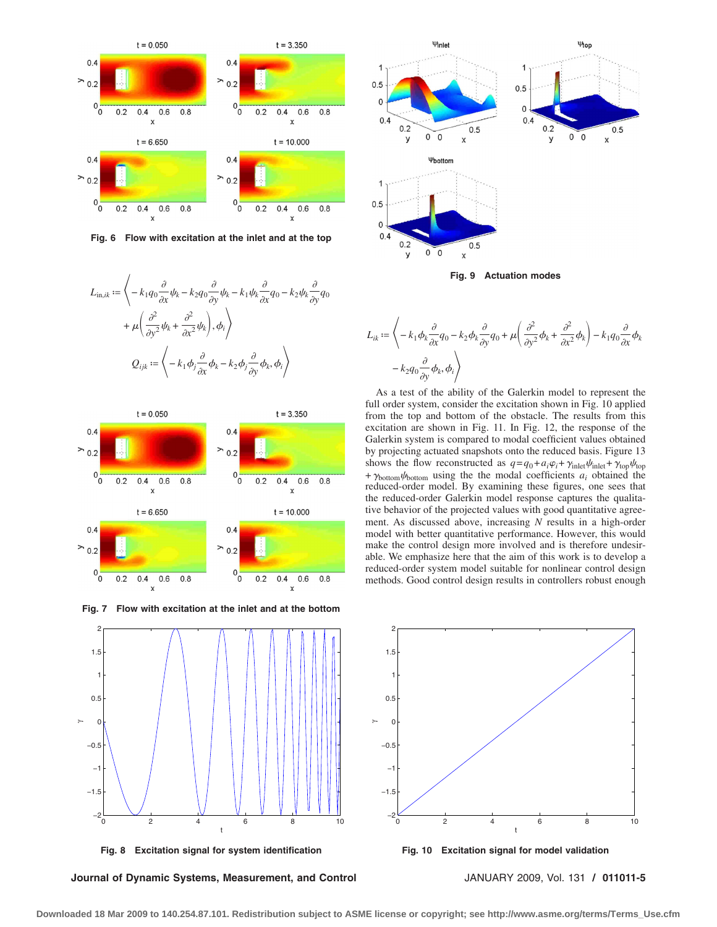

**Fig. 6 Flow with excitation at the inlet and at the top**









**Fig. 8 Excitation signal for system identification**

**Journal of Dynamic Systems, Measurement, and Control** JANUARY 2009, Vol. 131 **/ 011011-5**



**Fig. 9 Actuation modes**



As a test of the ability of the Galerkin model to represent the full order system, consider the excitation shown in Fig. 10 applied from the top and bottom of the obstacle. The results from this excitation are shown in Fig. 11. In Fig. 12, the response of the Galerkin system is compared to modal coefficient values obtained by projecting actuated snapshots onto the reduced basis. Figure 13 shows the flow reconstructed as  $q = q_0 + a_i\varphi_i + \gamma_{\text{inlet}}\psi_{\text{inlet}} + \gamma_{\text{top}}\psi_{\text{top}}$ +  $\gamma_{\text{bottom}}\psi_{\text{bottom}}$  using the the modal coefficients  $a_i$  obtained the reduced-order model. By examining these figures, one sees that the reduced-order Galerkin model response captures the qualitative behavior of the projected values with good quantitative agreement. As discussed above, increasing *N* results in a high-order model with better quantitative performance. However, this would make the control design more involved and is therefore undesirable. We emphasize here that the aim of this work is to develop a reduced-order system model suitable for nonlinear control design methods. Good control design results in controllers robust enough



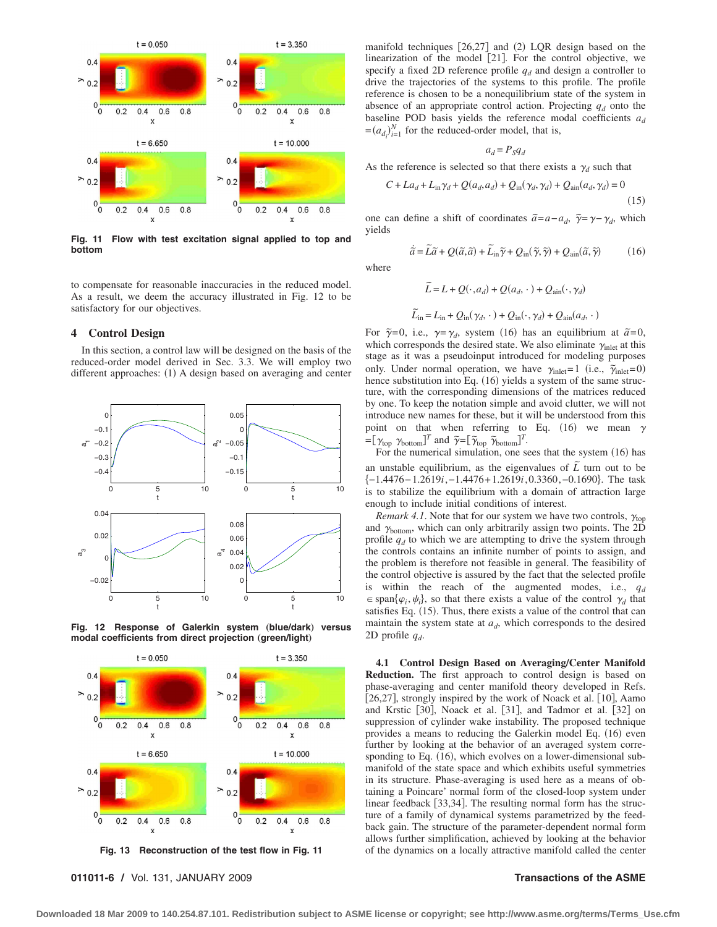

**Fig. 11 Flow with test excitation signal applied to top and bottom**

to compensate for reasonable inaccuracies in the reduced model. As a result, we deem the accuracy illustrated in Fig. 12 to be satisfactory for our objectives.

### **4 Control Design**

In this section, a control law will be designed on the basis of the reduced-order model derived in Sec. 3.3. We will employ two different approaches:  $(1)$  A design based on averaging and center



Fig. 12 Response of Galerkin system (blue/dark) versus  $model$  coefficients from direct projection (green/light)



**011011-6 /** Vol. 131, JANUARY 2009 **Transactions of the ASME**

manifold techniques [26,27] and (2) LQR design based on the linearization of the model [21]. For the control objective, we specify a fixed 2D reference profile  $q_d$  and design a controller to drive the trajectories of the systems to this profile. The profile reference is chosen to be a nonequilibrium state of the system in absence of an appropriate control action. Projecting  $q_d$  onto the baseline POD basis yields the reference modal coefficients *ad*  $=(a_{d_i})_{i=1}^N$  for the reduced-order model, that is,

$$
a_d = P_S q_d
$$

As the reference is selected so that there exists a  $\gamma_d$  such that

$$
C + La_d + L_{in}\gamma_d + Q(a_d, a_d) + Q_{in}(\gamma_d, \gamma_d) + Q_{ain}(a_d, \gamma_d) = 0
$$
\n(15)

 $(16)$ 

one can define a shift of coordinates  $\tilde{a} = a - a_d$ ,  $\tilde{\gamma} = \gamma - \gamma_d$ , which yields

 $\tilde{a} = \tilde{L}\tilde{a} + Q(\tilde{a}, \tilde{a}) + \tilde{L}_{in}\tilde{\gamma} + Q_{in}(\tilde{\gamma}, \tilde{\gamma}) + Q_{ain}(\tilde{a}, \tilde{\gamma})$ 

where

$$
\widetilde{L} = L + Q(\cdot, a_d) + Q(a_d, \cdot) + Q_{\text{ain}}(\cdot, \gamma_d)
$$

$$
\widetilde{L}_{\text{in}} = L_{\text{in}} + Q_{\text{in}}(\gamma_d, \cdot) + Q_{\text{in}}(\cdot, \gamma_d) + Q_{\text{ain}}(a_d, \cdot)
$$

For  $\tilde{\gamma}=0$ , i.e.,  $\gamma = \gamma_d$ , system (16) has an equilibrium at  $\tilde{a}=0$ , which corresponds the desired state. We also eliminate  $\gamma_{\text{inlet}}$  at this stage as it was a pseudoinput introduced for modeling purposes only. Under normal operation, we have  $\gamma_{\text{inlet}} = 1$  (i.e.,  $\tilde{\gamma}_{\text{inlet}} = 0$ ) hence substitution into Eq. (16) yields a system of the same structure, with the corresponding dimensions of the matrices reduced by one. To keep the notation simple and avoid clutter, we will not introduce new names for these, but it will be understood from this point on that when referring to Eq. (16) we mean  $\gamma$  $=[\gamma_{\text{top}} \gamma_{\text{bottom}}]^T$  and  $\tilde{\gamma} = [\tilde{\gamma}_{\text{top}} \tilde{\gamma}_{\text{bottom}}]^T$ .

For the numerical simulation, one sees that the system (16) has an unstable equilibrium, as the eigenvalues of  $\tilde{L}$  turn out to be −1.4476− 1.2619*i*,−1.4476+ 1.2619*i*, 0.3360,−0.1690. The task is to stabilize the equilibrium with a domain of attraction large enough to include initial conditions of interest.

*Remark 4.1*. Note that for our system we have two controls,  $\gamma_{\text{top}}$ and  $\gamma_{bottom}$ , which can only arbitrarily assign two points. The 2D profile  $q_d$  to which we are attempting to drive the system through the controls contains an infinite number of points to assign, and the problem is therefore not feasible in general. The feasibility of the control objective is assured by the fact that the selected profile is within the reach of the augmented modes, i.e.,  $q_d$  $\epsilon$  span $\{\varphi_i, \psi_i\}$ , so that there exists a value of the control  $\gamma_d$  that satisfies Eq. (15). Thus, there exists a value of the control that can maintain the system state at  $a_d$ , which corresponds to the desired 2D profile  $q_d$ .

**4.1 Control Design Based on Averaging/Center Manifold Reduction.** The first approach to control design is based on phase-averaging and center manifold theory developed in Refs. [26,27], strongly inspired by the work of Noack et al. [10], Aamo and Krstic [30], Noack et al. [31], and Tadmor et al. [32] on suppression of cylinder wake instability. The proposed technique provides a means to reducing the Galerkin model Eq. (16) even further by looking at the behavior of an averaged system corresponding to Eq. (16), which evolves on a lower-dimensional submanifold of the state space and which exhibits useful symmetries in its structure. Phase-averaging is used here as a means of obtaining a Poincare' normal form of the closed-loop system under linear feedback [33,34]. The resulting normal form has the structure of a family of dynamical systems parametrized by the feedback gain. The structure of the parameter-dependent normal form allows further simplification, achieved by looking at the behavior of the dynamics on a locally attractive manifold called the center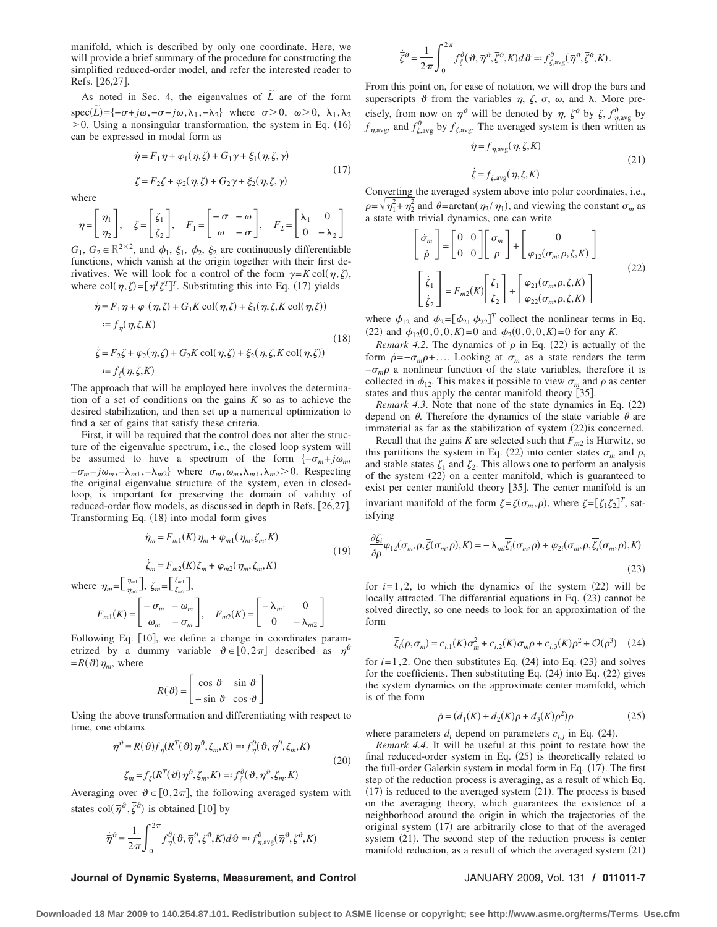manifold, which is described by only one coordinate. Here, we will provide a brief summary of the procedure for constructing the simplified reduced-order model, and refer the interested reader to Refs. [26,27].

As noted in Sec. 4, the eigenvalues of  $\tilde{L}$  are of the form  $\text{spec}(\tilde{L}) = \{-\sigma + j\omega, -\sigma - j\omega, \lambda_1, -\lambda_2\}$  where  $\sigma > 0$ ,  $\omega > 0$ ,  $\lambda_1, \lambda_2$  $> 0$ . Using a nonsingular transformation, the system in Eq. (16) can be expressed in modal form as

$$
\dot{\eta} = F_1 \eta + \varphi_1(\eta, \zeta) + G_1 \gamma + \xi_1(\eta, \zeta, \gamma)
$$
  
\n
$$
\zeta = F_2 \zeta + \varphi_2(\eta, \zeta) + G_2 \gamma + \xi_2(\eta, \zeta, \gamma)
$$
\n(17)

where

$$
\eta = \begin{bmatrix} \eta_1 \\ \eta_2 \end{bmatrix}, \quad \zeta = \begin{bmatrix} \zeta_1 \\ \zeta_2 \end{bmatrix}, \quad F_1 = \begin{bmatrix} -\sigma & -\omega \\ \omega & -\sigma \end{bmatrix}, \quad F_2 = \begin{bmatrix} \lambda_1 & 0 \\ 0 & -\lambda_2 \end{bmatrix}
$$

 $G_1, G_2 \in \mathbb{R}^{2 \times 2}$ , and  $\phi_1, \xi_1, \phi_2, \xi_2$  are continuously differentiable functions, which vanish at the origin together with their first derivatives. We will look for a control of the form  $\gamma = K \text{ col}(\eta, \zeta)$ , where col $(\eta, \zeta) = [\eta^T \zeta^T]^T$ . Substituting this into Eq. (17) yields

$$
\dot{\eta} = F_1 \eta + \varphi_1(\eta, \zeta) + G_1 K \operatorname{col}(\eta, \zeta) + \xi_1(\eta, \zeta, K \operatorname{col}(\eta, \zeta))
$$
  
\n
$$
:= f_\eta(\eta, \zeta, K)
$$
  
\n
$$
\dot{\zeta} = F_2 \zeta + \varphi_2(\eta, \zeta) + G_2 K \operatorname{col}(\eta, \zeta) + \xi_2(\eta, \zeta, K \operatorname{col}(\eta, \zeta))
$$
  
\n
$$
:= f_\zeta(\eta, \zeta, K)
$$
  
\n(18)

The approach that will be employed here involves the determination of a set of conditions on the gains *K* so as to achieve the desired stabilization, and then set up a numerical optimization to find a set of gains that satisfy these criteria.

First, it will be required that the control does not alter the structure of the eigenvalue spectrum, i.e., the closed loop system will be assumed to have a spectrum of the form  $\{-\sigma_m + j\omega_m,$  $-\sigma_m - j\omega_m, -\lambda_{m1}, -\lambda_{m2}$  where  $\sigma_m, \omega_m, \lambda_{m1}, \lambda_{m2} > 0$ . Respecting the original eigenvalue structure of the system, even in closedloop, is important for preserving the domain of validity of reduced-order flow models, as discussed in depth in Refs. [26,27]. Transforming Eq. (18) into modal form gives

$$
\dot{\eta}_m = F_{m1}(K) \eta_m + \varphi_{m1}(\eta_m, \zeta_m, K)
$$
\n
$$
\dot{\zeta}_m = F_{m2}(K) \zeta_m + \varphi_{m2}(\eta_m, \zeta_m, K)
$$
\n(19)\n
$$
\int_{\eta_{m2}}^{\eta_{m1}} \bigg], \zeta_m = \bigg[ \zeta_{m2}^{\zeta_{m1}} \bigg],
$$
\n
$$
\bigg[ -\sigma_m - \omega_m \bigg] \qquad \bigg[ -\lambda_{m1} \qquad 0 \bigg]
$$

where  $\eta_m = \begin{bmatrix} \frac{\eta_m}{\eta_m} & \frac{\eta_m}{\eta_m} \\ \frac{\eta_m}{\eta_m} & \frac{\eta_m}{\eta_m} \end{bmatrix}$  $\eta_{m2}$ 

$$
F_{m1}(K) = \begin{bmatrix} -\sigma_m & -\omega_m \\ \omega_m & -\sigma_m \end{bmatrix}, \quad F_{m2}(K) = \begin{bmatrix} -\lambda_{m1} & 0 \\ 0 & -\lambda_{m2} \end{bmatrix}
$$

Following Eq. [10], we define a change in coordinates parametrized by a dummy variable  $\vartheta \in [0, 2\pi]$  described as  $\eta^{\vartheta}$  $=R(\vartheta)\eta_m$ , where

$$
R(\vartheta) = \begin{bmatrix} \cos \vartheta & \sin \vartheta \\ -\sin \vartheta & \cos \vartheta \end{bmatrix}
$$

Using the above transformation and differentiating with respect to time, one obtains

$$
\dot{\eta}^{\vartheta} = R(\vartheta) f_{\eta} (R^{T}(\vartheta) \eta^{\vartheta}, \zeta_{m}, K) =: f_{\eta}^{\vartheta}(\vartheta, \eta^{\vartheta}, \zeta_{m}, K)
$$
  

$$
\dot{\zeta}_{m} = f_{\zeta} (R^{T}(\vartheta) \eta^{\vartheta}, \zeta_{m}, K) =: f_{\zeta}^{\vartheta}(\vartheta, \eta^{\vartheta}, \zeta_{m}, K)
$$
\n(20)

Averaging over  $\vartheta \in [0, 2\pi]$ , the following averaged system with states col $(\bar{\eta}^{\vartheta}, \bar{\zeta}^{\vartheta})$  is obtained [10] by

$$
\dot{\overline{\eta}}^{\partial} = \frac{1}{2\pi} \int_{0}^{2\pi} f_{\eta}^{\vartheta}(\vartheta, \overline{\eta}^{\vartheta}, \overline{\zeta}^{\vartheta}, K) d\vartheta =: f_{\eta, \text{avg}}^{\vartheta}(\overline{\eta}^{\vartheta}, \overline{\zeta}^{\vartheta}, K)
$$

$$
\dot{\bar{\zeta}}^{\partial} = \frac{1}{2\pi} \int_0^{2\pi} f_{\zeta}^{\vartheta}(\vartheta, \overline{\eta}^{\vartheta}, \overline{\zeta}^{\vartheta}, K) d\vartheta =: f_{\zeta, \text{avg}}^{\vartheta}(\overline{\eta}^{\vartheta}, \overline{\zeta}^{\vartheta}, K).
$$

From this point on, for ease of notation, we will drop the bars and superscripts  $\vartheta$  from the variables  $\eta$ ,  $\zeta$ ,  $\sigma$ ,  $\omega$ , and  $\lambda$ . More precisely, from now on  $\bar{\eta}^{\vartheta}$  will be denoted by  $\eta$ ,  $\bar{\zeta}^{\vartheta}$  by  $\zeta$ ,  $f_{\eta,\text{avg}}^{\vartheta}$  by  $f_{\eta, \text{avg}}$ , and  $f_{\zeta, \text{avg}}^{\vartheta}$  by  $f_{\zeta, \text{avg}}$ . The averaged system is then written as

$$
\dot{\eta} = f_{\eta, \text{avg}}(\eta, \zeta, K)
$$
\n
$$
\dot{\zeta} = f_{\zeta, \text{avg}}(\eta, \zeta, K)
$$
\n(21)

Converting the averaged system above into polar coordinates, i.e.,  $\rho = \sqrt{\eta_1^2 + \eta_2^2}$  and  $\theta = \arctan(\eta_2/\eta_1)$ , and viewing the constant  $\sigma_m$  as a state with trivial dynamics, one can write

$$
\begin{bmatrix}\n\dot{\sigma}_m \\
\dot{\rho}\n\end{bmatrix} = \begin{bmatrix}\n0 & 0 \\
0 & 0\n\end{bmatrix} \begin{bmatrix}\n\sigma_m \\
\rho\n\end{bmatrix} + \begin{bmatrix}\n0 \\
\varphi_{12}(\sigma_m, \rho, \zeta, K)\n\end{bmatrix}
$$
\n
$$
\begin{bmatrix}\n\dot{\zeta}_1 \\
\dot{\zeta}_2\n\end{bmatrix} = F_{m2}(K) \begin{bmatrix}\n\zeta_1 \\
\zeta_2\n\end{bmatrix} + \begin{bmatrix}\n\varphi_{21}(\sigma_m, \rho, \zeta, K) \\
\varphi_{22}(\sigma_m, \rho, \zeta, K)\n\end{bmatrix}
$$
\n(22)

where  $\phi_{12}$  and  $\phi_2 = [\phi_{21} \phi_{22}]^T$  collect the nonlinear terms in Eq. (22) and  $\phi_{12}(0,0,0,K)=0$  and  $\phi_2(0,0,0,K)=0$  for any *K*.

*Remark 4.2.* The dynamics of  $\rho$  in Eq. (22) is actually of the form  $\dot{\rho} = -\sigma_m \rho + \dots$  Looking at  $\sigma_m$  as a state renders the term  $-\sigma_m \rho$  a nonlinear function of the state variables, therefore it is collected in  $\phi_{12}$ . This makes it possible to view  $\sigma_m$  and  $\rho$  as center states and thus apply the center manifold theory [35].

*Remark 4.3.* Note that none of the state dynamics in Eq. (22) depend on  $\theta$ . Therefore the dynamics of the state variable  $\theta$  are immaterial as far as the stabilization of system  $(22)$  is concerned.

Recall that the gains *K* are selected such that  $F_{m2}$  is Hurwitz, so this partitions the system in Eq. (22) into center states  $\sigma_m$  and  $\rho$ , and stable states  $\zeta_1$  and  $\zeta_2$ . This allows one to perform an analysis of the system (22) on a center manifold, which is guaranteed to exist per center manifold theory [35]. The center manifold is an invariant manifold of the form  $\zeta = \overline{\zeta}(\sigma_m, \rho)$ , where  $\overline{\zeta} = [\overline{\zeta_1} \overline{\zeta_2}]^T$ , satisfying

$$
\frac{\partial \overline{\zeta}_i}{\partial \rho} \varphi_{12}(\sigma_m, \rho, \overline{\zeta}(\sigma_m, \rho), K) = -\lambda_{mi} \overline{\zeta}_i(\sigma_m, \rho) + \varphi_{2i}(\sigma_m, \rho, \overline{\zeta}_i(\sigma_m, \rho), K)
$$
\n(23)

for  $i=1, 2$ , to which the dynamics of the system  $(22)$  will be locally attracted. The differential equations in Eq.  $(23)$  cannot be solved directly, so one needs to look for an approximation of the form

$$
\overline{\zeta}_{i}(\rho,\sigma_{m}) = c_{i,1}(K)\sigma_{m}^{2} + c_{i,2}(K)\sigma_{m}\rho + c_{i,3}(K)\rho^{2} + \mathcal{O}(\rho^{3})
$$
 (24)

for  $i=1, 2$ . One then substitutes Eq.  $(24)$  into Eq.  $(23)$  and solves for the coefficients. Then substituting Eq.  $(24)$  into Eq.  $(22)$  gives the system dynamics on the approximate center manifold, which is of the form

$$
\dot{\rho} = (d_1(K) + d_2(K)\rho + d_3(K)\rho^2)\rho
$$
\n(25)

where parameters  $d_i$  depend on parameters  $c_{i,j}$  in Eq. (24).

*Remark 4.4*. It will be useful at this point to restate how the final reduced-order system in Eq.  $(25)$  is theoretically related to the full-order Galerkin system in modal form in Eq.  $(17)$ . The first step of the reduction process is averaging, as a result of which Eq.  $(17)$  is reduced to the averaged system  $(21)$ . The process is based on the averaging theory, which guarantees the existence of a neighborhood around the origin in which the trajectories of the original system (17) are arbitrarily close to that of the averaged system  $(21)$ . The second step of the reduction process is center manifold reduction, as a result of which the averaged system  $(21)$ 

### **Journal of Dynamic Systems, Measurement, and Control** JANUARY 2009, Vol. 131 **/ 011011-7**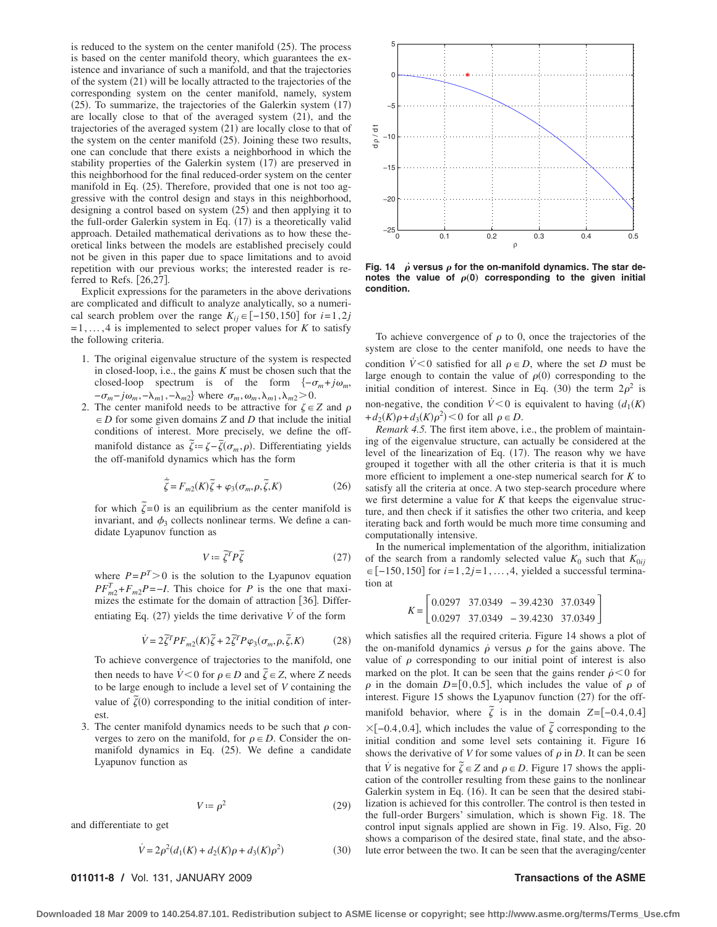is reduced to the system on the center manifold  $(25)$ . The process is based on the center manifold theory, which guarantees the existence and invariance of such a manifold, and that the trajectories of the system  $(21)$  will be locally attracted to the trajectories of the corresponding system on the center manifold, namely, system  $(25)$ . To summarize, the trajectories of the Galerkin system  $(17)$ are locally close to that of the averaged system (21), and the trajectories of the averaged system  $(21)$  are locally close to that of the system on the center manifold (25). Joining these two results, one can conclude that there exists a neighborhood in which the stability properties of the Galerkin system (17) are preserved in this neighborhood for the final reduced-order system on the center manifold in Eq.  $(25)$ . Therefore, provided that one is not too aggressive with the control design and stays in this neighborhood, designing a control based on system  $(25)$  and then applying it to the full-order Galerkin system in Eq.  $(17)$  is a theoretically valid approach. Detailed mathematical derivations as to how these theoretical links between the models are established precisely could not be given in this paper due to space limitations and to avoid repetition with our previous works; the interested reader is referred to Refs.  $[26,27]$ .

Explicit expressions for the parameters in the above derivations are complicated and difficult to analyze analytically, so a numerical search problem over the range  $K_{ij} \in [-150, 150]$  for  $i=1, 2j$  $= 1, \ldots, 4$  is implemented to select proper values for *K* to satisfy the following criteria.

- 1. The original eigenvalue structure of the system is respected in closed-loop, i.e., the gains *K* must be chosen such that the closed-loop spectrum is of the form  $\{-\sigma_m + j\omega_m,$  $-\sigma_m - j\omega_m, -\lambda_{m1}, -\lambda_{m2}$  where  $\sigma_m, \omega_m, \lambda_{m1}, \lambda_{m2} > 0$ .
- 2. The center manifold needs to be attractive for  $\zeta \in Z$  and  $\rho$  $\in$  *D* for some given domains *Z* and *D* that include the initial conditions of interest. More precisely, we define the offmanifold distance as  $\tilde{\zeta} = \zeta - \overline{\zeta}(\sigma_m, \rho)$ . Differentiating yields the off-manifold dynamics which has the form

$$
\dot{\tilde{\zeta}} = F_{m2}(K)\tilde{\zeta} + \varphi_3(\sigma_m, \rho, \tilde{\zeta}, K)
$$
\n(26)

for which  $\tilde{\zeta} = 0$  is an equilibrium as the center manifold is invariant, and  $\phi_3$  collects nonlinear terms. We define a candidate Lyapunov function as

$$
V := \tilde{\zeta}^T P \tilde{\zeta}
$$
 (27)

where  $P = P<sup>T</sup> > 0$  is the solution to the Lyapunov equation  $PF_{m2}^T + F_{m2}P = -I$ . This choice for *P* is the one that maximizes the estimate for the domain of attraction [36]. Differentiating Eq.  $(27)$  yields the time derivative  $\dot{V}$  of the form

$$
\dot{V} = 2\tilde{\zeta}^T P F_{m2}(K)\tilde{\zeta} + 2\tilde{\zeta}^T P \varphi_3(\sigma_m, \rho, \tilde{\zeta}, K) \tag{28}
$$

To achieve convergence of trajectories to the manifold, one then needs to have  $\dot{V} < 0$  for  $\rho \in D$  and  $\tilde{\zeta} \in Z$ , where *Z* needs to be large enough to include a level set of *V* containing the value of  $\tilde{\zeta}(0)$  corresponding to the initial condition of interest.

3. The center manifold dynamics needs to be such that  $\rho$  converges to zero on the manifold, for  $\rho \in D$ . Consider the onmanifold dynamics in Eq.  $(25)$ . We define a candidate Lyapunov function as

$$
V := \rho^2 \tag{29}
$$

and differentiate to get

$$
\dot{V} = 2\rho^2 (d_1(K) + d_2(K)\rho + d_3(K)\rho^2)
$$
\n(30)



Fig. 14  $\dot{\rho}$  versus  $\rho$  for the on-manifold dynamics. The star denotes the value of  $p(0)$  corresponding to the given initial **condition.**

To achieve convergence of  $\rho$  to 0, once the trajectories of the system are close to the center manifold, one needs to have the condition  $\dot{V} < 0$  satisfied for all  $\rho \in D$ , where the set *D* must be large enough to contain the value of  $\rho(0)$  corresponding to the initial condition of interest. Since in Eq. (30) the term  $2\rho^2$  is non-negative, the condition  $\dot{V} < 0$  is equivalent to having  $(d_1(K))$  $+d_2(K)\rho + d_3(K)\rho^2$  < 0 for all  $\rho \in D$ .

*Remark 4.5.* The first item above, i.e., the problem of maintaining of the eigenvalue structure, can actually be considered at the level of the linearization of Eq. (17). The reason why we have grouped it together with all the other criteria is that it is much more efficient to implement a one-step numerical search for *K* to satisfy all the criteria at once. A two step-search procedure where we first determine a value for *K* that keeps the eigenvalue structure, and then check if it satisfies the other two criteria, and keep iterating back and forth would be much more time consuming and computationally intensive.

In the numerical implementation of the algorithm, initialization of the search from a randomly selected value  $K_0$  such that  $K_{0ij}$ ∈ [-150, 150] for *i*=1, 2*j*=1, ..., 4, yielded a successful termination at

$$
K = \begin{bmatrix} 0.0297 & 37.0349 & -39.4230 & 37.0349 \\ 0.0297 & 37.0349 & -39.4230 & 37.0349 \end{bmatrix}
$$

which satisfies all the required criteria. Figure 14 shows a plot of the on-manifold dynamics  $\dot{\rho}$  versus  $\rho$  for the gains above. The value of  $\rho$  corresponding to our initial point of interest is also marked on the plot. It can be seen that the gains render  $\dot{\rho} < 0$  for  $\rho$  in the domain  $D = [0, 0.5]$ , which includes the value of  $\rho$  of interest. Figure 15 shows the Lyapunov function  $(27)$  for the offmanifold behavior, where  $\zeta$  is in the domain *Z*=[-0.4, 0.4]  $\times [-0.4, 0.4]$ , which includes the value of  $\tilde{\zeta}$  corresponding to the initial condition and some level sets containing it. Figure 16 shows the derivative of *V* for some values of  $\rho$  in *D*. It can be seen that *V* is negative for  $\tilde{\zeta} \in Z$  and  $\rho \in D$ . Figure 17 shows the application of the controller resulting from these gains to the nonlinear Galerkin system in Eq. (16). It can be seen that the desired stabilization is achieved for this controller. The control is then tested in the full-order Burgers' simulation, which is shown Fig. 18. The control input signals applied are shown in Fig. 19. Also, Fig. 20 shows a comparison of the desired state, final state, and the absolute error between the two. It can be seen that the averaging/center

### **011011-8 /** Vol. 131, JANUARY 2009 **Transactions of the ASME**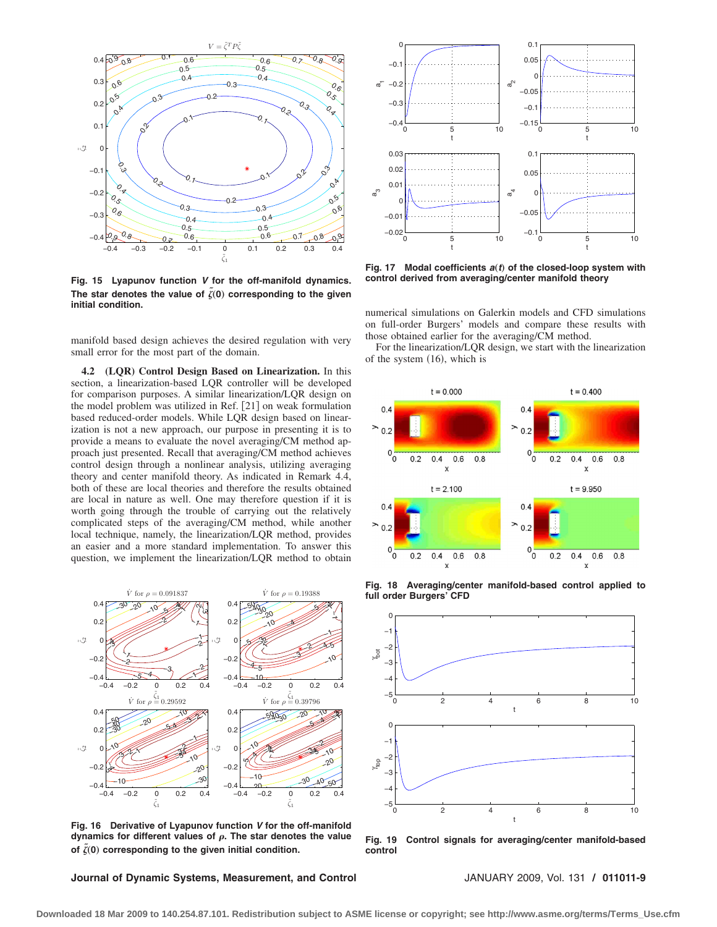

**Fig. 15 Lyapunov function** *V* **for the off-manifold dynamics.** The star denotes the value of  $\tilde{\zeta}(0)$  corresponding to the given **initial condition.**

manifold based design achieves the desired regulation with very small error for the most part of the domain.

**4.2 (LQR) Control Design Based on Linearization.** In this section, a linearization-based LQR controller will be developed for comparison purposes. A similar linearization/LQR design on the model problem was utilized in Ref. [21] on weak formulation based reduced-order models. While LQR design based on linearization is not a new approach, our purpose in presenting it is to provide a means to evaluate the novel averaging/CM method approach just presented. Recall that averaging/CM method achieves control design through a nonlinear analysis, utilizing averaging theory and center manifold theory. As indicated in Remark 4.4, both of these are local theories and therefore the results obtained are local in nature as well. One may therefore question if it is worth going through the trouble of carrying out the relatively complicated steps of the averaging/CM method, while another local technique, namely, the linearization/LQR method, provides an easier and a more standard implementation. To answer this question, we implement the linearization/LQR method to obtain



**Fig. 16 Derivative of Lyapunov function** *V* **for the off-manifold dynamics for different values of . The star denotes the value** of  $\tilde{\zeta}(0)$  corresponding to the given initial condition.

**Journal of Dynamic Systems, Measurement, and Control** JANUARY 2009, Vol. 131 **/ 011011-9**



**Fig. 17** Modal coefficients  $a(t)$  of the closed-loop system with **control derived from averaging/center manifold theory**

numerical simulations on Galerkin models and CFD simulations on full-order Burgers' models and compare these results with those obtained earlier for the averaging/CM method.

For the linearization/LQR design, we start with the linearization of the system  $(16)$ , which is



**Fig. 18 Averaging/center manifold-based control applied to full order Burgers' CFD**



**Fig. 19 Control signals for averaging/center manifold-based control**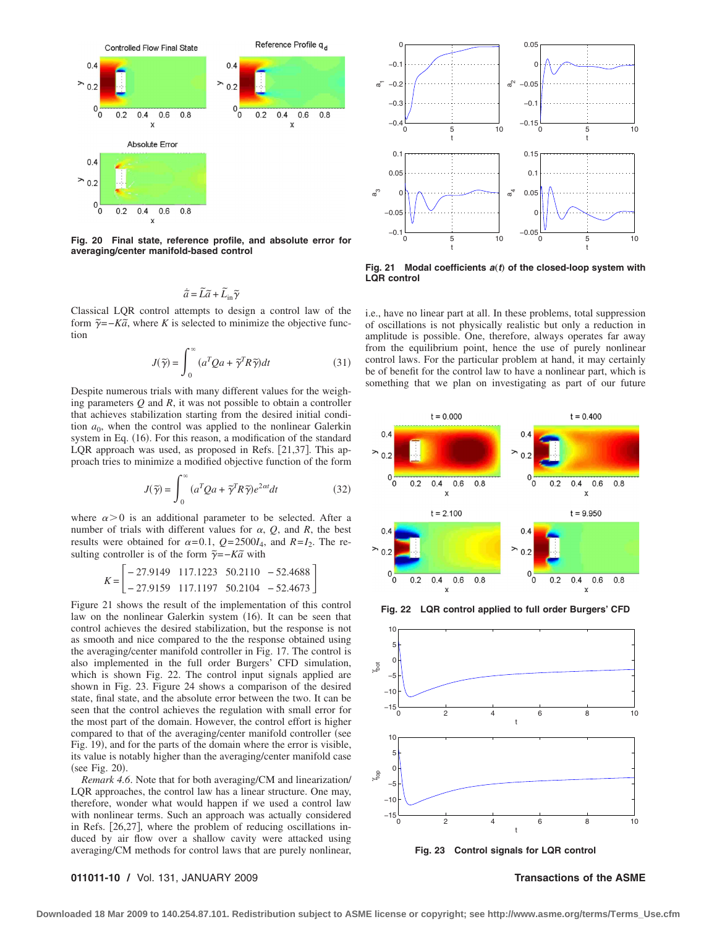

**Fig. 20 Final state, reference profile, and absolute error for averaging/center manifold-based control**

$$
\dot{\widetilde{a}} = \widetilde{L}\widetilde{a} + \widetilde{L}_{\text{in}}\widetilde{\gamma}
$$

Classical LQR control attempts to design a control law of the form  $\tilde{\gamma}$ =−*Ka*̃, where *K* is selected to minimize the objective function

$$
J(\tilde{\gamma}) = \int_0^\infty (a^T Q a + \tilde{\gamma}^T R \tilde{\gamma}) dt
$$
 (31)

Despite numerous trials with many different values for the weighing parameters *Q* and *R*, it was not possible to obtain a controller that achieves stabilization starting from the desired initial condition  $a_0$ , when the control was applied to the nonlinear Galerkin system in Eq. (16). For this reason, a modification of the standard LQR approach was used, as proposed in Refs. [21,37]. This approach tries to minimize a modified objective function of the form

$$
J(\tilde{\gamma}) = \int_0^\infty (a^T Q a + \tilde{\gamma}^T R \tilde{\gamma}) e^{2\alpha t} dt
$$
 (32)

where  $\alpha > 0$  is an additional parameter to be selected. After a number of trials with different values for  $\alpha$ ,  $Q$ , and  $R$ , the best results were obtained for  $\alpha = 0.1$ ,  $Q = 2500I_4$ , and  $R = I_2$ . The resulting controller is of the form  $\tilde{\gamma} = -K\tilde{a}$  with

$$
K = \begin{bmatrix} -27.9149 & 117.1223 & 50.2110 & -52.4688 \\ -27.9159 & 117.1197 & 50.2104 & -52.4673 \end{bmatrix}
$$

Figure 21 shows the result of the implementation of this control law on the nonlinear Galerkin system (16). It can be seen that control achieves the desired stabilization, but the response is not as smooth and nice compared to the the response obtained using the averaging/center manifold controller in Fig. 17. The control is also implemented in the full order Burgers' CFD simulation, which is shown Fig. 22. The control input signals applied are shown in Fig. 23. Figure 24 shows a comparison of the desired state, final state, and the absolute error between the two. It can be seen that the control achieves the regulation with small error for the most part of the domain. However, the control effort is higher compared to that of the averaging/center manifold controller (see Fig. 19, and for the parts of the domain where the error is visible, its value is notably higher than the averaging/center manifold case (see Fig. 20).

*Remark 4.6*. Note that for both averaging/CM and linearization/ LQR approaches, the control law has a linear structure. One may, therefore, wonder what would happen if we used a control law with nonlinear terms. Such an approach was actually considered in Refs. [26,27], where the problem of reducing oscillations induced by air flow over a shallow cavity were attacked using averaging/CM methods for control laws that are purely nonlinear,



**Fig. 21** Modal coefficients  $a(t)$  of the closed-loop system with **LQR control**

i.e., have no linear part at all. In these problems, total suppression of oscillations is not physically realistic but only a reduction in amplitude is possible. One, therefore, always operates far away from the equilibrium point, hence the use of purely nonlinear control laws. For the particular problem at hand, it may certainly be of benefit for the control law to have a nonlinear part, which is something that we plan on investigating as part of our future



**Fig. 22 LQR control applied to full order Burgers' CFD**



**Fig. 23 Control signals for LQR control**

### **011011-10 /** Vol. 131, JANUARY 2009 **Transactions of the ASME**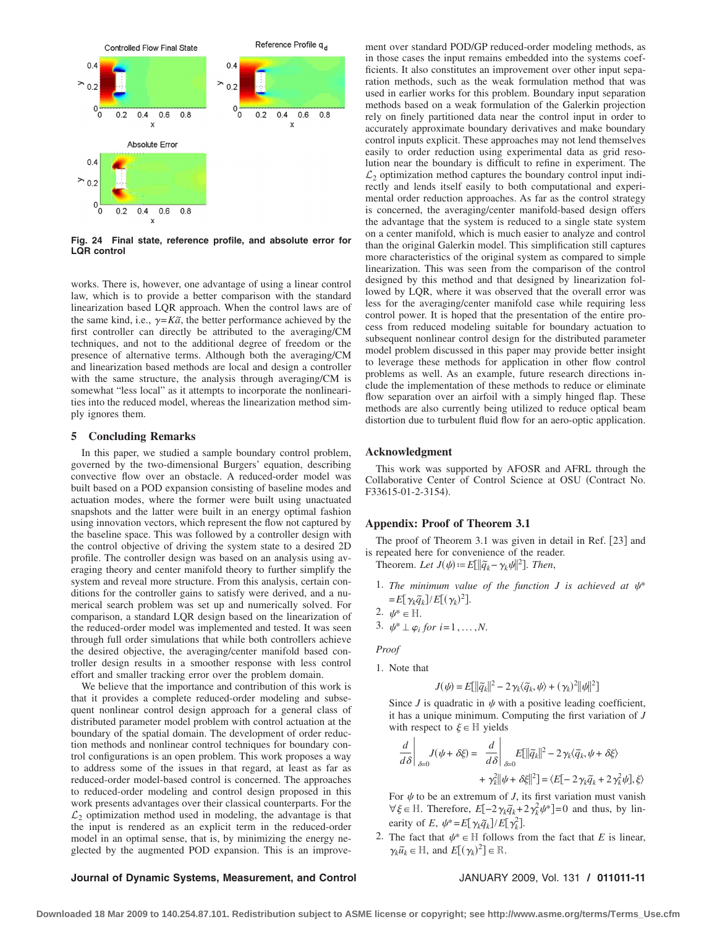

**Fig. 24 Final state, reference profile, and absolute error for LQR control**

works. There is, however, one advantage of using a linear control law, which is to provide a better comparison with the standard linearization based LQR approach. When the control laws are of the same kind, i.e.,  $\gamma = K\tilde{a}$ , the better performance achieved by the first controller can directly be attributed to the averaging/CM techniques, and not to the additional degree of freedom or the presence of alternative terms. Although both the averaging/CM and linearization based methods are local and design a controller with the same structure, the analysis through averaging/CM is somewhat "less local" as it attempts to incorporate the nonlinearities into the reduced model, whereas the linearization method simply ignores them.

### **5 Concluding Remarks**

In this paper, we studied a sample boundary control problem, governed by the two-dimensional Burgers' equation, describing convective flow over an obstacle. A reduced-order model was built based on a POD expansion consisting of baseline modes and actuation modes, where the former were built using unactuated snapshots and the latter were built in an energy optimal fashion using innovation vectors, which represent the flow not captured by the baseline space. This was followed by a controller design with the control objective of driving the system state to a desired 2D profile. The controller design was based on an analysis using averaging theory and center manifold theory to further simplify the system and reveal more structure. From this analysis, certain conditions for the controller gains to satisfy were derived, and a numerical search problem was set up and numerically solved. For comparison, a standard LQR design based on the linearization of the reduced-order model was implemented and tested. It was seen through full order simulations that while both controllers achieve the desired objective, the averaging/center manifold based controller design results in a smoother response with less control effort and smaller tracking error over the problem domain.

We believe that the importance and contribution of this work is that it provides a complete reduced-order modeling and subsequent nonlinear control design approach for a general class of distributed parameter model problem with control actuation at the boundary of the spatial domain. The development of order reduction methods and nonlinear control techniques for boundary control configurations is an open problem. This work proposes a way to address some of the issues in that regard, at least as far as reduced-order model-based control is concerned. The approaches to reduced-order modeling and control design proposed in this work presents advantages over their classical counterparts. For the  $\mathcal{L}_2$  optimization method used in modeling, the advantage is that the input is rendered as an explicit term in the reduced-order model in an optimal sense, that is, by minimizing the energy neglected by the augmented POD expansion. This is an improve-

ment over standard POD/GP reduced-order modeling methods, as in those cases the input remains embedded into the systems coefficients. It also constitutes an improvement over other input separation methods, such as the weak formulation method that was used in earlier works for this problem. Boundary input separation methods based on a weak formulation of the Galerkin projection rely on finely partitioned data near the control input in order to accurately approximate boundary derivatives and make boundary control inputs explicit. These approaches may not lend themselves easily to order reduction using experimental data as grid resolution near the boundary is difficult to refine in experiment. The  $\mathcal{L}_2$  optimization method captures the boundary control input indirectly and lends itself easily to both computational and experimental order reduction approaches. As far as the control strategy is concerned, the averaging/center manifold-based design offers the advantage that the system is reduced to a single state system on a center manifold, which is much easier to analyze and control than the original Galerkin model. This simplification still captures more characteristics of the original system as compared to simple linearization. This was seen from the comparison of the control designed by this method and that designed by linearization followed by LQR, where it was observed that the overall error was less for the averaging/center manifold case while requiring less control power. It is hoped that the presentation of the entire process from reduced modeling suitable for boundary actuation to subsequent nonlinear control design for the distributed parameter model problem discussed in this paper may provide better insight to leverage these methods for application in other flow control problems as well. As an example, future research directions include the implementation of these methods to reduce or eliminate flow separation over an airfoil with a simply hinged flap. These methods are also currently being utilized to reduce optical beam distortion due to turbulent fluid flow for an aero-optic application.

### **Acknowledgment**

This work was supported by AFOSR and AFRL through the Collaborative Center of Control Science at OSU Contract No. F33615-01-2-3154).

### **Appendix: Proof of Theorem 3.1**

The proof of Theorem 3.1 was given in detail in Ref. [23] and is repeated here for convenience of the reader.

Theorem. Let  $J(\psi) := E[||\tilde{q}_k - \gamma_k \psi||^2]$ . Then,

1. The minimum value of the function  $J$  is achieved at  $\psi^*$  $= E[\gamma_k \tilde{q}_k] / E[(\gamma_k)^2].$ 

$$
2. \psi^* \in \mathbb{H}.
$$

3.  $\psi^* \perp \varphi_i$  for  $i=1,\ldots,N$ .

*Proof*

1. Note that

$$
J(\psi) = E[\|\widetilde{q}_k\|^2 - 2\gamma_k \langle \widetilde{q}_k, \psi \rangle + (\gamma_k)^2 \|\psi\|^2]
$$

Since *J* is quadratic in  $\psi$  with a positive leading coefficient, it has a unique minimum. Computing the first variation of *J* with respect to  $\xi \in \mathbb{H}$  yields

$$
\frac{d}{d\delta}\Big|_{\delta=0} J(\psi + \delta \xi) = \frac{d}{d\delta}\Big|_{\delta=0} E[||\tilde{q}_k||^2 - 2\gamma_k \langle \tilde{q}_k, \psi + \delta \xi \rangle
$$

$$
+ \gamma_k^2 ||\psi + \delta \xi||^2] = \langle E[-2\gamma_k \tilde{q}_k + 2\gamma_k^2 \psi], \xi \rangle
$$

For  $\psi$  to be an extremum of *J*, its first variation must vanish  $\forall \xi \in \mathbb{H}$ . Therefore,  $E[-2\gamma_k \tilde{q}_k + 2\gamma_k^2 \psi^*] = 0$  and thus, by linearity of *E*,  $\psi^* = E[\gamma_k \tilde{q}_k] / E[\gamma_k^2]$ .

2. The fact that  $\psi^* \in \mathbb{H}$  follows from the fact that *E* is linear,  $\gamma_k \tilde{u}_k \in \mathbb{H}$ , and  $E[(\gamma_k)^2] \in \mathbb{R}$ .

### **Journal of Dynamic Systems, Measurement, and Control** JANUARY 2009, Vol. 131 **/ 011011-11**